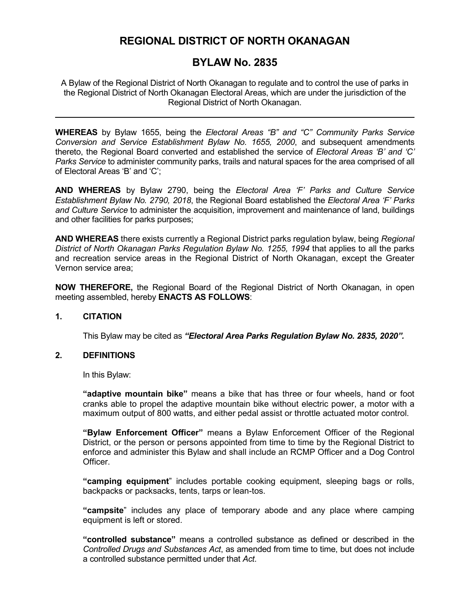# **REGIONAL DISTRICT OF NORTH OKANAGAN**

## **BYLAW No. 2835**

A Bylaw of the Regional District of North Okanagan to regulate and to control the use of parks in the Regional District of North Okanagan Electoral Areas, which are under the jurisdiction of the Regional District of North Okanagan.

**WHEREAS** by Bylaw 1655, being the *Electoral Areas "B" and "C" Community Parks Service Conversion and Service Establishment Bylaw No. 1655, 2000*, and subsequent amendments thereto, the Regional Board converted and established the service of *Electoral Areas 'B' and 'C' Parks Service* to administer community parks, trails and natural spaces for the area comprised of all of Electoral Areas 'B' and 'C';

**AND WHEREAS** by Bylaw 2790, being the *Electoral Area 'F' Parks and Culture Service Establishment Bylaw No. 2790, 2018*, the Regional Board established the *Electoral Area 'F' Parks and Culture Service* to administer the acquisition, improvement and maintenance of land, buildings and other facilities for parks purposes;

**AND WHEREAS** there exists currently a Regional District parks regulation bylaw, being *Regional District of North Okanagan Parks Regulation Bylaw No. 1255, 1994* that applies to all the parks and recreation service areas in the Regional District of North Okanagan, except the Greater Vernon service area;

**NOW THEREFORE,** the Regional Board of the Regional District of North Okanagan, in open meeting assembled, hereby **ENACTS AS FOLLOWS**:

## **1. CITATION**

This Bylaw may be cited as *"Electoral Area Parks Regulation Bylaw No. 2835, 2020".*

#### **2. DEFINITIONS**

In this Bylaw:

**"adaptive mountain bike"** means a bike that has three or four wheels, hand or foot cranks able to propel the adaptive mountain bike without electric power, a motor with a maximum output of 800 watts, and either pedal assist or throttle actuated motor control.

**"Bylaw Enforcement Officer"** means a Bylaw Enforcement Officer of the Regional District, or the person or persons appointed from time to time by the Regional District to enforce and administer this Bylaw and shall include an RCMP Officer and a Dog Control Officer.

**"camping equipment**" includes portable cooking equipment, sleeping bags or rolls, backpacks or packsacks, tents, tarps or lean-tos.

**"campsite**" includes any place of temporary abode and any place where camping equipment is left or stored.

**"controlled substance"** means a controlled substance as defined or described in the *Controlled Drugs and Substances Act*, as amended from time to time, but does not include a controlled substance permitted under that *Act*.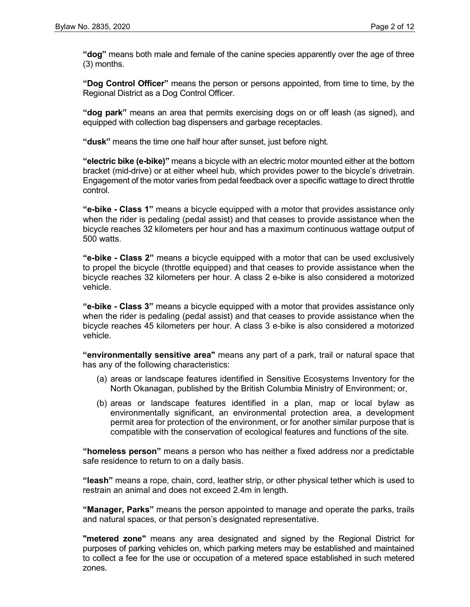**"dog"** means both male and female of the canine species apparently over the age of three (3) months.

**"Dog Control Officer"** means the person or persons appointed, from time to time, by the Regional District as a Dog Control Officer.

**"dog park"** means an area that permits exercising dogs on or off leash (as signed), and equipped with collection bag dispensers and garbage receptacles.

**"dusk"** means the time one half hour after sunset, just before night.

**"electric bike (e-bike)"** means a bicycle with an electric motor mounted either at the bottom bracket (mid-drive) or at either wheel hub, which provides power to the bicycle's drivetrain. Engagement of the motor varies from pedal feedback over a specific wattage to direct throttle control.

**"e-bike - Class 1"** means a bicycle equipped with a motor that provides assistance only when the rider is pedaling (pedal assist) and that ceases to provide assistance when the bicycle reaches 32 kilometers per hour and has a maximum continuous wattage output of 500 watts.

**"e-bike - Class 2"** means a bicycle equipped with a motor that can be used exclusively to propel the bicycle (throttle equipped) and that ceases to provide assistance when the bicycle reaches 32 kilometers per hour. A class 2 e-bike is also considered a motorized vehicle.

**"e-bike - Class 3"** means a bicycle equipped with a motor that provides assistance only when the rider is pedaling (pedal assist) and that ceases to provide assistance when the bicycle reaches 45 kilometers per hour. A class 3 e-bike is also considered a motorized vehicle.

**"environmentally sensitive area"** means any part of a park, trail or natural space that has any of the following characteristics:

- (a) areas or landscape features identified in Sensitive Ecosystems Inventory for the North Okanagan, published by the British Columbia Ministry of Environment; or,
- (b) areas or landscape features identified in a plan, map or local bylaw as environmentally significant, an environmental protection area, a development permit area for protection of the environment, or for another similar purpose that is compatible with the conservation of ecological features and functions of the site.

**"homeless person"** means a person who has neither a fixed address nor a predictable safe residence to return to on a daily basis.

**"leash"** means a rope, chain, cord, leather strip, or other physical tether which is used to restrain an animal and does not exceed 2.4m in length.

**"Manager, Parks"** means the person appointed to manage and operate the parks, trails and natural spaces, or that person's designated representative.

**"metered zone"** means any area designated and signed by the Regional District for purposes of parking vehicles on, which parking meters may be established and maintained to collect a fee for the use or occupation of a metered space established in such metered zones.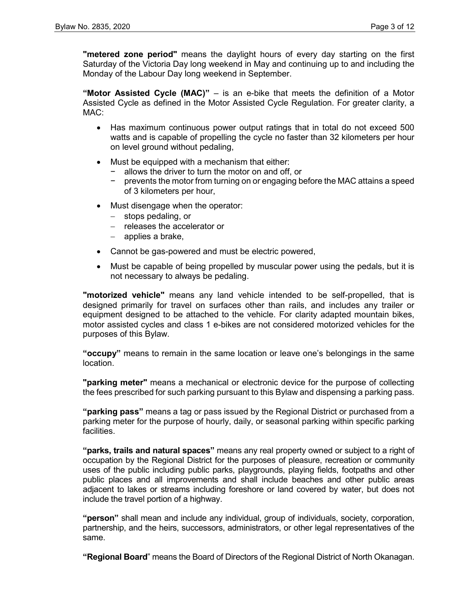**"metered zone period"** means the daylight hours of every day starting on the first Saturday of the Victoria Day long weekend in May and continuing up to and including the Monday of the Labour Day long weekend in September.

**"Motor Assisted Cycle (MAC)"** – is an e-bike that meets the definition of a Motor Assisted Cycle as defined in the Motor Assisted Cycle Regulation. For greater clarity, a MAC:

- Has maximum continuous power output ratings that in total do not exceed 500 watts and is capable of propelling the cycle no faster than 32 kilometers per hour on level ground without pedaling,
- Must be equipped with a mechanism that either:
	- − allows the driver to turn the motor on and off, or
	- − prevents the motor from turning on or engaging before the MAC attains a speed of 3 kilometers per hour,
- Must disengage when the operator:
	- − stops pedaling, or
	- − releases the accelerator or
	- − applies a brake,
- Cannot be gas-powered and must be electric powered,
- Must be capable of being propelled by muscular power using the pedals, but it is not necessary to always be pedaling.

**"motorized vehicle"** means any land vehicle intended to be self-propelled, that is designed primarily for travel on surfaces other than rails, and includes any trailer or equipment designed to be attached to the vehicle. For clarity adapted mountain bikes, motor assisted cycles and class 1 e-bikes are not considered motorized vehicles for the purposes of this Bylaw.

**"occupy"** means to remain in the same location or leave one's belongings in the same location.

**"parking meter"** means a mechanical or electronic device for the purpose of collecting the fees prescribed for such parking pursuant to this Bylaw and dispensing a parking pass.

**"parking pass"** means a tag or pass issued by the Regional District or purchased from a parking meter for the purpose of hourly, daily, or seasonal parking within specific parking facilities.

**"parks, trails and natural spaces"** means any real property owned or subject to a right of occupation by the Regional District for the purposes of pleasure, recreation or community uses of the public including public parks, playgrounds, playing fields, footpaths and other public places and all improvements and shall include beaches and other public areas adjacent to lakes or streams including foreshore or land covered by water, but does not include the travel portion of a highway.

**"person"** shall mean and include any individual, group of individuals, society, corporation, partnership, and the heirs, successors, administrators, or other legal representatives of the same.

**"Regional Board**" means the Board of Directors of the Regional District of North Okanagan.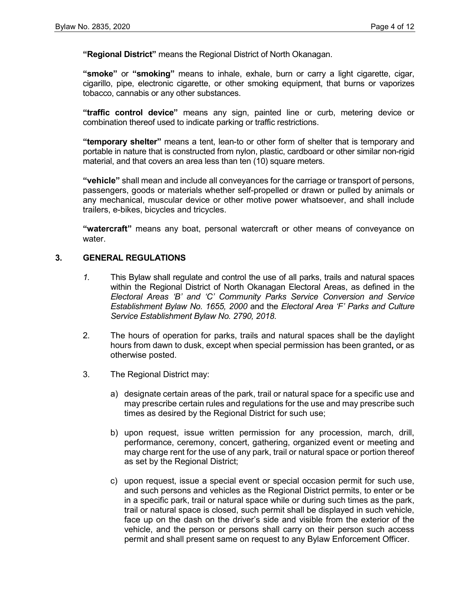**"Regional District"** means the Regional District of North Okanagan.

**"smoke"** or **"smoking"** means to inhale, exhale, burn or carry a light cigarette, cigar, cigarillo, pipe, electronic cigarette, or other smoking equipment, that burns or vaporizes tobacco, cannabis or any other substances.

**"traffic control device"** means any sign, painted line or curb, metering device or combination thereof used to indicate parking or traffic restrictions.

**"temporary shelter"** means a tent, lean-to or other form of shelter that is temporary and portable in nature that is constructed from nylon, plastic, cardboard or other similar non-rigid material, and that covers an area less than ten (10) square meters.

**"vehicle"** shall mean and include all conveyances for the carriage or transport of persons, passengers, goods or materials whether self-propelled or drawn or pulled by animals or any mechanical, muscular device or other motive power whatsoever, and shall include trailers, e-bikes, bicycles and tricycles.

**"watercraft"** means any boat, personal watercraft or other means of conveyance on water

#### **3. GENERAL REGULATIONS**

- *1.* This Bylaw shall regulate and control the use of all parks, trails and natural spaces within the Regional District of North Okanagan Electoral Areas, as defined in the *Electoral Areas 'B' and 'C' Community Parks Service Conversion and Service Establishment Bylaw No. 1655, 2000* and the *Electoral Area 'F' Parks and Culture Service Establishment Bylaw No. 2790, 2018*.
- 2. The hours of operation for parks, trails and natural spaces shall be the daylight hours from dawn to dusk, except when special permission has been granted**,** or as otherwise posted.
- 3. The Regional District may:
	- a) designate certain areas of the park, trail or natural space for a specific use and may prescribe certain rules and regulations for the use and may prescribe such times as desired by the Regional District for such use;
	- b) upon request, issue written permission for any procession, march, drill, performance, ceremony, concert, gathering, organized event or meeting and may charge rent for the use of any park, trail or natural space or portion thereof as set by the Regional District;
	- c) upon request, issue a special event or special occasion permit for such use, and such persons and vehicles as the Regional District permits, to enter or be in a specific park, trail or natural space while or during such times as the park, trail or natural space is closed, such permit shall be displayed in such vehicle, face up on the dash on the driver's side and visible from the exterior of the vehicle, and the person or persons shall carry on their person such access permit and shall present same on request to any Bylaw Enforcement Officer.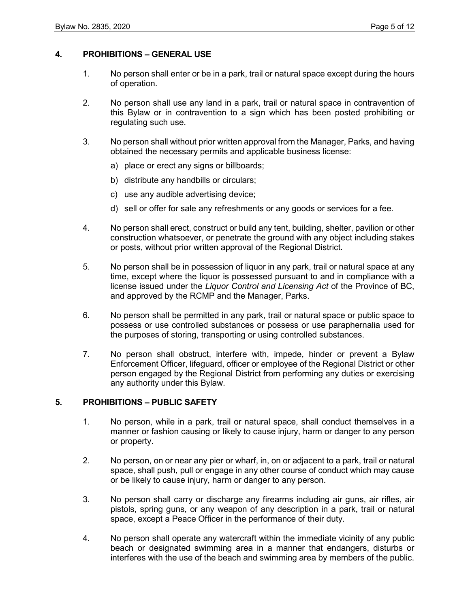#### **4. PROHIBITIONS – GENERAL USE**

- 1. No person shall enter or be in a park, trail or natural space except during the hours of operation.
- 2. No person shall use any land in a park, trail or natural space in contravention of this Bylaw or in contravention to a sign which has been posted prohibiting or regulating such use.
- 3. No person shall without prior written approval from the Manager, Parks, and having obtained the necessary permits and applicable business license:
	- a) place or erect any signs or billboards;
	- b) distribute any handbills or circulars;
	- c) use any audible advertising device;
	- d) sell or offer for sale any refreshments or any goods or services for a fee.
- 4. No person shall erect, construct or build any tent, building, shelter, pavilion or other construction whatsoever, or penetrate the ground with any object including stakes or posts, without prior written approval of the Regional District.
- 5. No person shall be in possession of liquor in any park, trail or natural space at any time, except where the liquor is possessed pursuant to and in compliance with a license issued under the *Liquor Control and Licensing Act* of the Province of BC, and approved by the RCMP and the Manager, Parks.
- 6. No person shall be permitted in any park, trail or natural space or public space to possess or use controlled substances or possess or use paraphernalia used for the purposes of storing, transporting or using controlled substances.
- 7. No person shall obstruct, interfere with, impede, hinder or prevent a Bylaw Enforcement Officer, lifeguard, officer or employee of the Regional District or other person engaged by the Regional District from performing any duties or exercising any authority under this Bylaw.

## **5. PROHIBITIONS – PUBLIC SAFETY**

- 1. No person, while in a park, trail or natural space, shall conduct themselves in a manner or fashion causing or likely to cause injury, harm or danger to any person or property.
- 2. No person, on or near any pier or wharf, in, on or adjacent to a park, trail or natural space, shall push, pull or engage in any other course of conduct which may cause or be likely to cause injury, harm or danger to any person.
- 3. No person shall carry or discharge any firearms including air guns, air rifles, air pistols, spring guns, or any weapon of any description in a park, trail or natural space, except a Peace Officer in the performance of their duty.
- 4. No person shall operate any watercraft within the immediate vicinity of any public beach or designated swimming area in a manner that endangers, disturbs or interferes with the use of the beach and swimming area by members of the public.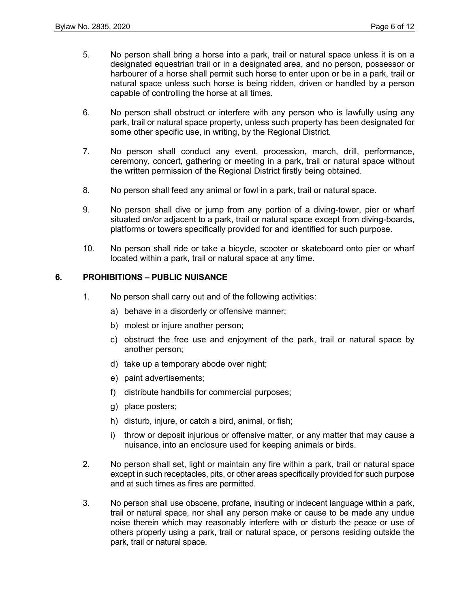- 5. No person shall bring a horse into a park, trail or natural space unless it is on a designated equestrian trail or in a designated area, and no person, possessor or harbourer of a horse shall permit such horse to enter upon or be in a park, trail or natural space unless such horse is being ridden, driven or handled by a person capable of controlling the horse at all times.
- 6. No person shall obstruct or interfere with any person who is lawfully using any park, trail or natural space property, unless such property has been designated for some other specific use, in writing, by the Regional District.
- 7. No person shall conduct any event, procession, march, drill, performance, ceremony, concert, gathering or meeting in a park, trail or natural space without the written permission of the Regional District firstly being obtained.
- 8. No person shall feed any animal or fowl in a park, trail or natural space.
- 9. No person shall dive or jump from any portion of a diving-tower, pier or wharf situated on/or adjacent to a park, trail or natural space except from diving-boards, platforms or towers specifically provided for and identified for such purpose.
- 10. No person shall ride or take a bicycle, scooter or skateboard onto pier or wharf located within a park, trail or natural space at any time.

#### **6. PROHIBITIONS – PUBLIC NUISANCE**

- 1. No person shall carry out and of the following activities:
	- a) behave in a disorderly or offensive manner;
	- b) molest or injure another person;
	- c) obstruct the free use and enjoyment of the park, trail or natural space by another person;
	- d) take up a temporary abode over night;
	- e) paint advertisements;
	- f) distribute handbills for commercial purposes;
	- g) place posters;
	- h) disturb, injure, or catch a bird, animal, or fish;
	- i) throw or deposit injurious or offensive matter, or any matter that may cause a nuisance, into an enclosure used for keeping animals or birds.
- 2. No person shall set, light or maintain any fire within a park, trail or natural space except in such receptacles, pits, or other areas specifically provided for such purpose and at such times as fires are permitted.
- 3. No person shall use obscene, profane, insulting or indecent language within a park, trail or natural space, nor shall any person make or cause to be made any undue noise therein which may reasonably interfere with or disturb the peace or use of others properly using a park, trail or natural space, or persons residing outside the park, trail or natural space.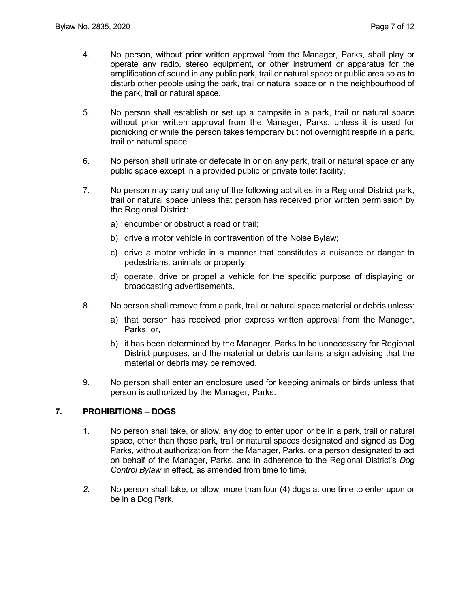- 4. No person, without prior written approval from the Manager, Parks, shall play or operate any radio, stereo equipment, or other instrument or apparatus for the amplification of sound in any public park, trail or natural space or public area so as to disturb other people using the park, trail or natural space or in the neighbourhood of the park, trail or natural space.
- 5. No person shall establish or set up a campsite in a park, trail or natural space without prior written approval from the Manager, Parks, unless it is used for picnicking or while the person takes temporary but not overnight respite in a park, trail or natural space.
- 6. No person shall urinate or defecate in or on any park, trail or natural space or any public space except in a provided public or private toilet facility.
- 7. No person may carry out any of the following activities in a Regional District park, trail or natural space unless that person has received prior written permission by the Regional District:
	- a) encumber or obstruct a road or trail;
	- b) drive a motor vehicle in contravention of the Noise Bylaw;
	- c) drive a motor vehicle in a manner that constitutes a nuisance or danger to pedestrians, animals or property;
	- d) operate, drive or propel a vehicle for the specific purpose of displaying or broadcasting advertisements.
- 8. No person shall remove from a park, trail or natural space material or debris unless:
	- a) that person has received prior express written approval from the Manager, Parks; or,
	- b) it has been determined by the Manager, Parks to be unnecessary for Regional District purposes, and the material or debris contains a sign advising that the material or debris may be removed.
- 9. No person shall enter an enclosure used for keeping animals or birds unless that person is authorized by the Manager, Parks.

#### **7. PROHIBITIONS – DOGS**

- 1. No person shall take, or allow, any dog to enter upon or be in a park, trail or natural space, other than those park, trail or natural spaces designated and signed as Dog Parks, without authorization from the Manager, Parks, or a person designated to act on behalf of the Manager, Parks, and in adherence to the Regional District's *Dog Control Bylaw* in effect, as amended from time to time.
- *2.* No person shall take, or allow, more than four (4) dogs at one time to enter upon or be in a Dog Park.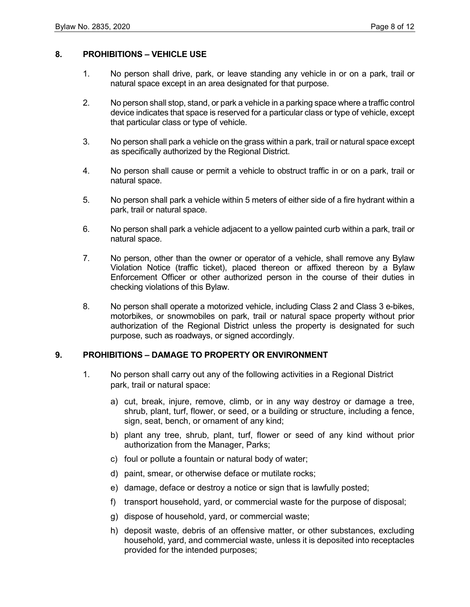#### **8. PROHIBITIONS – VEHICLE USE**

- 1. No person shall drive, park, or leave standing any vehicle in or on a park, trail or natural space except in an area designated for that purpose.
- 2. No person shall stop, stand, or park a vehicle in a parking space where a traffic control device indicates that space is reserved for a particular class or type of vehicle, except that particular class or type of vehicle.
- 3. No person shall park a vehicle on the grass within a park, trail or natural space except as specifically authorized by the Regional District.
- 4. No person shall cause or permit a vehicle to obstruct traffic in or on a park, trail or natural space.
- 5. No person shall park a vehicle within 5 meters of either side of a fire hydrant within a park, trail or natural space.
- 6. No person shall park a vehicle adjacent to a yellow painted curb within a park, trail or natural space.
- 7. No person, other than the owner or operator of a vehicle, shall remove any Bylaw Violation Notice (traffic ticket), placed thereon or affixed thereon by a Bylaw Enforcement Officer or other authorized person in the course of their duties in checking violations of this Bylaw.
- 8. No person shall operate a motorized vehicle, including Class 2 and Class 3 e-bikes, motorbikes, or snowmobiles on park, trail or natural space property without prior authorization of the Regional District unless the property is designated for such purpose, such as roadways, or signed accordingly.

#### **9. PROHIBITIONS – DAMAGE TO PROPERTY OR ENVIRONMENT**

- 1. No person shall carry out any of the following activities in a Regional District park, trail or natural space:
	- a) cut, break, injure, remove, climb, or in any way destroy or damage a tree, shrub, plant, turf, flower, or seed, or a building or structure, including a fence, sign, seat, bench, or ornament of any kind;
	- b) plant any tree, shrub, plant, turf, flower or seed of any kind without prior authorization from the Manager, Parks;
	- c) foul or pollute a fountain or natural body of water;
	- d) paint, smear, or otherwise deface or mutilate rocks;
	- e) damage, deface or destroy a notice or sign that is lawfully posted;
	- f) transport household, yard, or commercial waste for the purpose of disposal;
	- g) dispose of household, yard, or commercial waste;
	- h) deposit waste, debris of an offensive matter, or other substances, excluding household, yard, and commercial waste, unless it is deposited into receptacles provided for the intended purposes;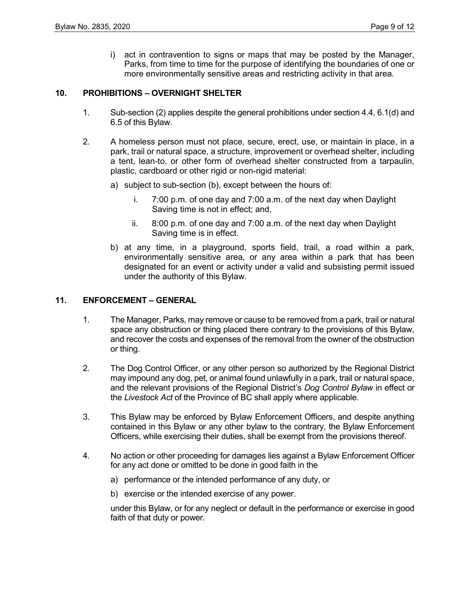i) act in contravention to signs or maps that may be posted by the Manager, Parks, from time to time for the purpose of identifying the boundaries of one or more environmentally sensitive areas and restricting activity in that area.

#### **10. PROHIBITIONS – OVERNIGHT SHELTER**

- 1. Sub-section (2) applies despite the general prohibitions under section 4.4, 6.1(d) and 6.5 of this Bylaw.
- 2. A homeless person must not place, secure, erect, use, or maintain in place, in a park, trail or natural space, a structure, improvement or overhead shelter, including a tent, lean-to, or other form of overhead shelter constructed from a tarpaulin, plastic, cardboard or other rigid or non-rigid material:
	- a) subject to sub-section (b), except between the hours of:
		- i. 7:00 p.m. of one day and 7:00 a.m. of the next day when Daylight Saving time is not in effect; and,
		- ii. 8:00 p.m. of one day and 7:00 a.m. of the next day when Daylight Saving time is in effect.
	- b) at any time, in a playground, sports field, trail, a road within a park, environmentally sensitive area, or any area within a park that has been designated for an event or activity under a valid and subsisting permit issued under the authority of this Bylaw.

#### **11. ENFORCEMENT – GENERAL**

- 1. The Manager, Parks, may remove or cause to be removed from a park, trail or natural space any obstruction or thing placed there contrary to the provisions of this Bylaw, and recover the costs and expenses of the removal from the owner of the obstruction or thing.
- 2. The Dog Control Officer, or any other person so authorized by the Regional District may impound any dog, pet, or animal found unlawfully in a park, trail or natural space, and the relevant provisions of the Regional District's *Dog Control Bylaw* in effect or the *Livestock Act* of the Province of BC shall apply where applicable.
- 3. This Bylaw may be enforced by Bylaw Enforcement Officers, and despite anything contained in this Bylaw or any other bylaw to the contrary, the Bylaw Enforcement Officers, while exercising their duties, shall be exempt from the provisions thereof.
- 4. No action or other proceeding for damages lies against a Bylaw Enforcement Officer for any act done or omitted to be done in good faith in the
	- a) performance or the intended performance of any duty, or
	- b) exercise or the intended exercise of any power.

under this Bylaw, or for any neglect or default in the performance or exercise in good faith of that duty or power.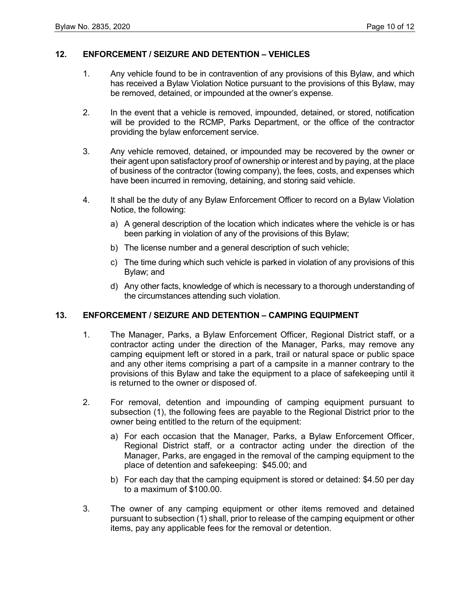#### **12. ENFORCEMENT / SEIZURE AND DETENTION – VEHICLES**

- 1. Any vehicle found to be in contravention of any provisions of this Bylaw, and which has received a Bylaw Violation Notice pursuant to the provisions of this Bylaw, may be removed, detained, or impounded at the owner's expense.
- 2. In the event that a vehicle is removed, impounded, detained, or stored, notification will be provided to the RCMP, Parks Department, or the office of the contractor providing the bylaw enforcement service.
- 3. Any vehicle removed, detained, or impounded may be recovered by the owner or their agent upon satisfactory proof of ownership or interest and by paying, at the place of business of the contractor (towing company), the fees, costs, and expenses which have been incurred in removing, detaining, and storing said vehicle.
- 4. It shall be the duty of any Bylaw Enforcement Officer to record on a Bylaw Violation Notice, the following:
	- a) A general description of the location which indicates where the vehicle is or has been parking in violation of any of the provisions of this Bylaw;
	- b) The license number and a general description of such vehicle;
	- c) The time during which such vehicle is parked in violation of any provisions of this Bylaw; and
	- d) Any other facts, knowledge of which is necessary to a thorough understanding of the circumstances attending such violation.

#### **13. ENFORCEMENT / SEIZURE AND DETENTION – CAMPING EQUIPMENT**

- 1. The Manager, Parks, a Bylaw Enforcement Officer, Regional District staff, or a contractor acting under the direction of the Manager, Parks, may remove any camping equipment left or stored in a park, trail or natural space or public space and any other items comprising a part of a campsite in a manner contrary to the provisions of this Bylaw and take the equipment to a place of safekeeping until it is returned to the owner or disposed of.
- 2. For removal, detention and impounding of camping equipment pursuant to subsection (1), the following fees are payable to the Regional District prior to the owner being entitled to the return of the equipment:
	- a) For each occasion that the Manager, Parks, a Bylaw Enforcement Officer, Regional District staff, or a contractor acting under the direction of the Manager, Parks, are engaged in the removal of the camping equipment to the place of detention and safekeeping: \$45.00; and
	- b) For each day that the camping equipment is stored or detained: \$4.50 per day to a maximum of \$100.00.
- 3. The owner of any camping equipment or other items removed and detained pursuant to subsection (1) shall, prior to release of the camping equipment or other items, pay any applicable fees for the removal or detention.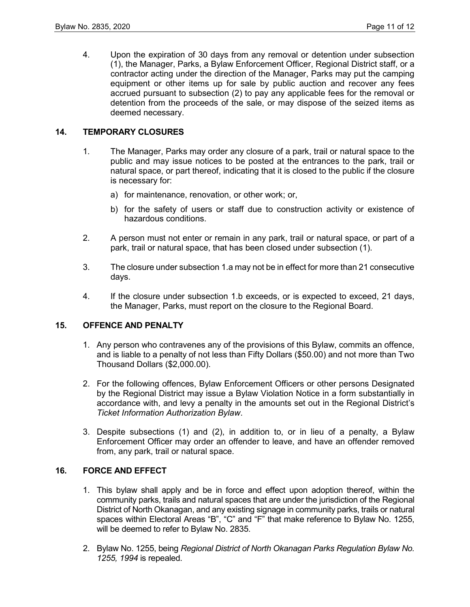4. Upon the expiration of 30 days from any removal or detention under subsection (1), the Manager, Parks, a Bylaw Enforcement Officer, Regional District staff, or a contractor acting under the direction of the Manager, Parks may put the camping equipment or other items up for sale by public auction and recover any fees accrued pursuant to subsection (2) to pay any applicable fees for the removal or detention from the proceeds of the sale, or may dispose of the seized items as deemed necessary.

## **14. TEMPORARY CLOSURES**

- 1. The Manager, Parks may order any closure of a park, trail or natural space to the public and may issue notices to be posted at the entrances to the park, trail or natural space, or part thereof, indicating that it is closed to the public if the closure is necessary for:
	- a) for maintenance, renovation, or other work; or,
	- b) for the safety of users or staff due to construction activity or existence of hazardous conditions.
- 2. A person must not enter or remain in any park, trail or natural space, or part of a park, trail or natural space, that has been closed under subsection (1).
- 3. The closure under subsection 1.a may not be in effect for more than 21 consecutive days.
- 4. If the closure under subsection 1.b exceeds, or is expected to exceed, 21 days, the Manager, Parks, must report on the closure to the Regional Board.

## **15. OFFENCE AND PENALTY**

- 1. Any person who contravenes any of the provisions of this Bylaw, commits an offence, and is liable to a penalty of not less than Fifty Dollars (\$50.00) and not more than Two Thousand Dollars (\$2,000.00).
- 2. For the following offences, Bylaw Enforcement Officers or other persons Designated by the Regional District may issue a Bylaw Violation Notice in a form substantially in accordance with, and levy a penalty in the amounts set out in the Regional District's *Ticket Information Authorization Bylaw*.
- 3. Despite subsections (1) and (2), in addition to, or in lieu of a penalty, a Bylaw Enforcement Officer may order an offender to leave, and have an offender removed from, any park, trail or natural space.

## **16. FORCE AND EFFECT**

- 1. This bylaw shall apply and be in force and effect upon adoption thereof, within the community parks, trails and natural spaces that are under the jurisdiction of the Regional District of North Okanagan, and any existing signage in community parks, trails or natural spaces within Electoral Areas "B", "C" and "F" that make reference to Bylaw No. 1255, will be deemed to refer to Bylaw No. 2835.
- 2. Bylaw No. 1255, being *Regional District of North Okanagan Parks Regulation Bylaw No. 1255, 1994* is repealed.